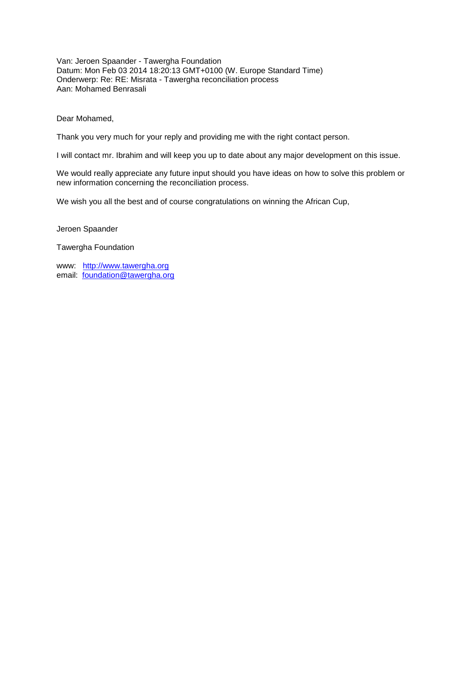Van: Jeroen Spaander - Tawergha Foundation Datum: Mon Feb 03 2014 18:20:13 GMT+0100 (W. Europe Standard Time) Onderwerp: Re: RE: Misrata - Tawergha reconciliation process Aan: Mohamed Benrasali

Dear Mohamed,

Thank you very much for your reply and providing me with the right contact person.

I will contact mr. Ibrahim and will keep you up to date about any major development on this issue.

We would really appreciate any future input should you have ideas on how to solve this problem or new information concerning the reconciliation process.

We wish you all the best and of course congratulations on winning the African Cup,

Jeroen Spaander

Tawergha Foundation

www: [http://www.tawergha.org](http://www.tawergha.org/) email: [foundation@tawergha.org](mailto:foundation@tawergha.org)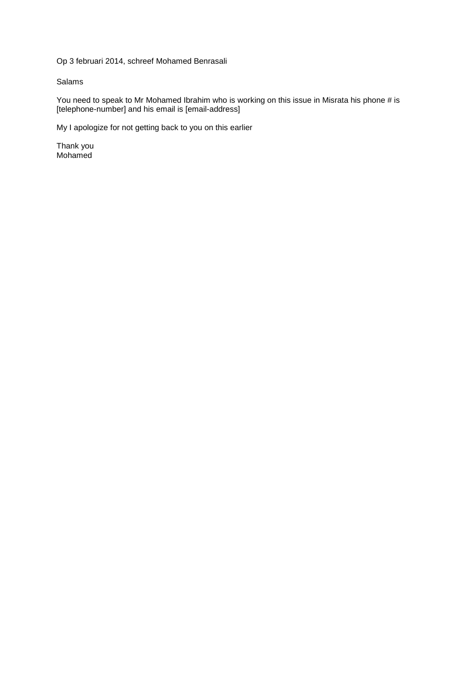Op 3 februari 2014, schreef Mohamed Benrasali

Salams

You need to speak to Mr Mohamed Ibrahim who is working on this issue in Misrata his phone # is [telephone-number] and his email is [email-address]

My I apologize for not getting back to you on this earlier

Thank you Mohamed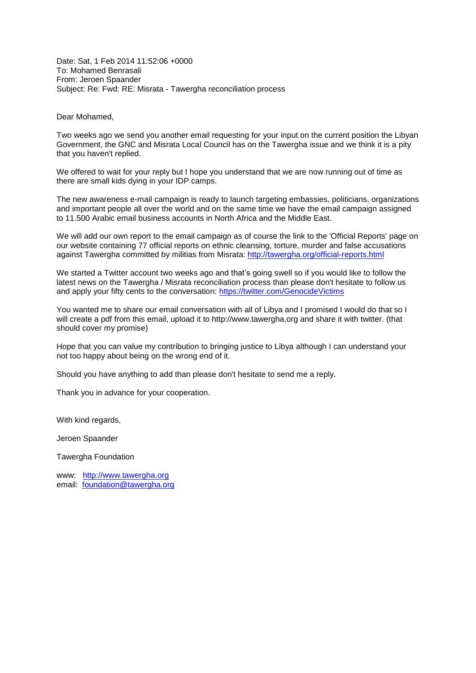Date: Sat, 1 Feb 2014 11:52:06 +0000 To: Mohamed Benrasali From: Jeroen Spaander Subject: Re: Fwd: RE: Misrata - Tawergha reconciliation process

Dear Mohamed,

Two weeks ago we send you another email requesting for your input on the current position the Libyan Government, the GNC and Misrata Local Council has on the Tawergha issue and we think it is a pity that you haven't replied.

We offered to wait for your reply but I hope you understand that we are now running out of time as there are small kids dying in your IDP camps.

The new awareness e-mail campaign is ready to launch targeting embassies, politicians, organizations and important people all over the world and on the same time we have the email campaign assigned to 11.500 Arabic email business accounts in North Africa and the Middle East.

We will add our own report to the email campaign as of course the link to the 'Official Reports' page on our website containing 77 official reports on ethnic cleansing, torture, murder and false accusations against Tawergha committed by militias from Misrata:<http://tawergha.org/official-reports.html>

We started a Twitter account two weeks ago and that's going swell so if you would like to follow the latest news on the Tawergha / Misrata reconciliation process than please don't hesitate to follow us and apply your fifty cents to the conversation:<https://twitter.com/GenocideVictims>

You wanted me to share our email conversation with all of Libya and I promised I would do that so I will create a pdf from this email, upload it to http://www.tawergha.org and share it with twitter. (that should cover my promise)

Hope that you can value my contribution to bringing justice to Libya although I can understand your not too happy about being on the wrong end of it.

Should you have anything to add than please don't hesitate to send me a reply.

Thank you in advance for your cooperation.

With kind regards,

Jeroen Spaander

Tawergha Foundation

www: [http://www.tawergha.org](http://www.tawergha.org/) email: [foundation@tawergha.org](mailto:foundation@tawergha.org)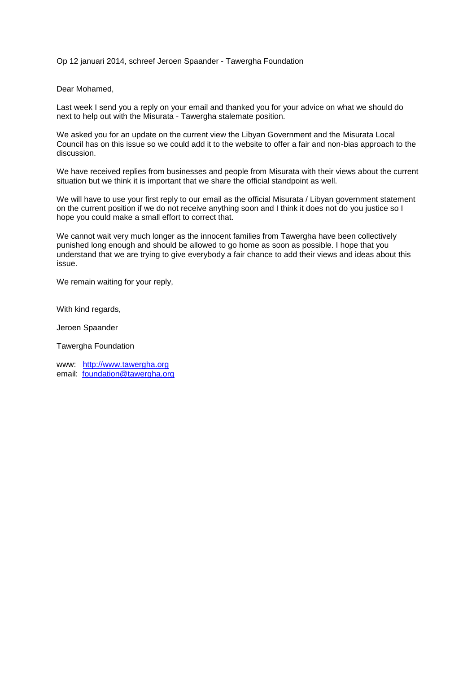Op 12 januari 2014, schreef Jeroen Spaander - Tawergha Foundation

Dear Mohamed,

Last week I send you a reply on your email and thanked you for your advice on what we should do next to help out with the Misurata - Tawergha stalemate position.

We asked you for an update on the current view the Libyan Government and the Misurata Local Council has on this issue so we could add it to the website to offer a fair and non-bias approach to the discussion.

We have received replies from businesses and people from Misurata with their views about the current situation but we think it is important that we share the official standpoint as well.

We will have to use your first reply to our email as the official Misurata / Libyan government statement on the current position if we do not receive anything soon and I think it does not do you justice so I hope you could make a small effort to correct that.

We cannot wait very much longer as the innocent families from Tawergha have been collectively punished long enough and should be allowed to go home as soon as possible. I hope that you understand that we are trying to give everybody a fair chance to add their views and ideas about this issue.

We remain waiting for your reply,

With kind regards,

Jeroen Spaander

Tawergha Foundation

www: [http://www.tawergha.org](http://www.tawergha.org/) email: [foundation@tawergha.org](mailto:foundation@tawergha.org)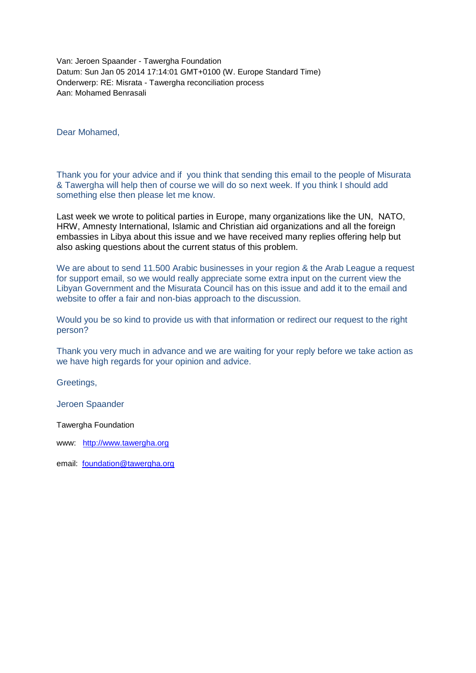Van: Jeroen Spaander - Tawergha Foundation Datum: Sun Jan 05 2014 17:14:01 GMT+0100 (W. Europe Standard Time) Onderwerp: RE: Misrata - Tawergha reconciliation process Aan: Mohamed Benrasali

Dear Mohamed,

Thank you for your advice and if you think that sending this email to the people of Misurata & Tawergha will help then of course we will do so next week. If you think I should add something else then please let me know.

Last week we wrote to political parties in Europe, many organizations like the UN, NATO, HRW, Amnesty International, Islamic and Christian aid organizations and all the foreign embassies in Libya about this issue and we have received many replies offering help but also asking questions about the current status of this problem.

We are about to send 11.500 Arabic businesses in your region & the Arab League a request for support email, so we would really appreciate some extra input on the current view the Libyan Government and the Misurata Council has on this issue and add it to the email and website to offer a fair and non-bias approach to the discussion.

Would you be so kind to provide us with that information or redirect our request to the right person?

Thank you very much in advance and we are waiting for your reply before we take action as we have high regards for your opinion and advice.

Greetings,

Jeroen Spaander

Tawergha Foundation

www: [http://www.tawergha.org](http://www.tawergha.org/)

email: [foundation@tawergha.org](mailto:foundation@tawergha.org)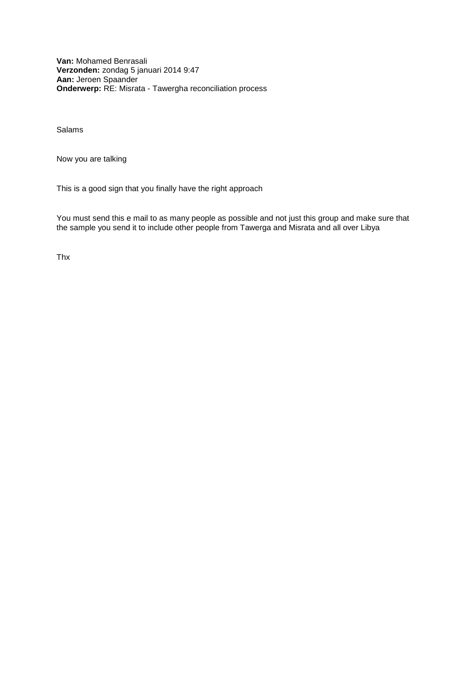**Van:** Mohamed Benrasali **Verzonden:** zondag 5 januari 2014 9:47 **Aan:** Jeroen Spaander **Onderwerp:** RE: Misrata - Tawergha reconciliation process

Salams

Now you are talking

This is a good sign that you finally have the right approach

You must send this e mail to as many people as possible and not just this group and make sure that the sample you send it to include other people from Tawerga and Misrata and all over Libya

Thx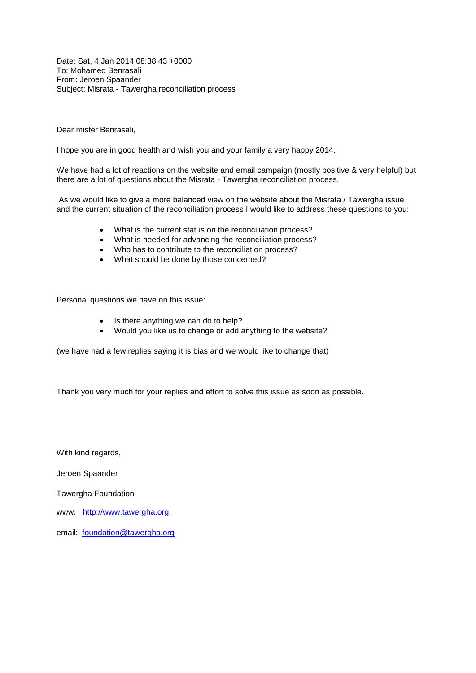Date: Sat, 4 Jan 2014 08:38:43 +0000 To: Mohamed Benrasali From: Jeroen Spaander Subject: Misrata - Tawergha reconciliation process

Dear mister Benrasali,

I hope you are in good health and wish you and your family a very happy 2014.

We have had a lot of reactions on the website and email campaign (mostly positive & very helpful) but there are a lot of questions about the Misrata - Tawergha reconciliation process.

As we would like to give a more balanced view on the website about the Misrata / Tawergha issue and the current situation of the reconciliation process I would like to address these questions to you:

- What is the current status on the reconciliation process?
- What is needed for advancing the reconciliation process?
- Who has to contribute to the reconciliation process?
- What should be done by those concerned?

Personal questions we have on this issue:

- Is there anything we can do to help?
- Would you like us to change or add anything to the website?

(we have had a few replies saying it is bias and we would like to change that)

Thank you very much for your replies and effort to solve this issue as soon as possible.

With kind regards,

Jeroen Spaander

Tawergha Foundation

- www: [http://www.tawergha.org](http://www.tawergha.org/)
- email: [foundation@tawergha.org](mailto:foundation@tawergha.org)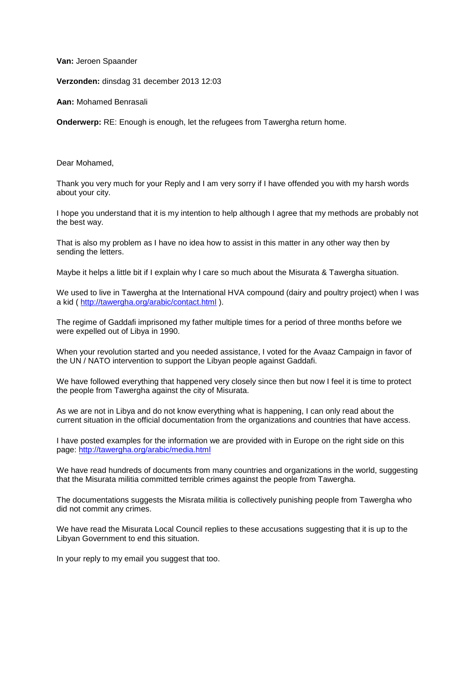**Van:** Jeroen Spaander

**Verzonden:** dinsdag 31 december 2013 12:03

**Aan:** Mohamed Benrasali

**Onderwerp:** RE: Enough is enough, let the refugees from Tawergha return home.

Dear Mohamed,

Thank you very much for your Reply and I am very sorry if I have offended you with my harsh words about your city.

I hope you understand that it is my intention to help although I agree that my methods are probably not the best way.

That is also my problem as I have no idea how to assist in this matter in any other way then by sending the letters.

Maybe it helps a little bit if I explain why I care so much about the Misurata & Tawergha situation.

We used to live in Tawergha at the International HVA compound (dairy and poultry project) when I was a kid (<http://tawergha.org/arabic/contact.html> ).

The regime of Gaddafi imprisoned my father multiple times for a period of three months before we were expelled out of Libya in 1990.

When your revolution started and you needed assistance, I voted for the Avaaz Campaign in favor of the UN / NATO intervention to support the Libyan people against Gaddafi.

We have followed everything that happened very closely since then but now I feel it is time to protect the people from Tawergha against the city of Misurata.

As we are not in Libya and do not know everything what is happening, I can only read about the current situation in the official documentation from the organizations and countries that have access.

I have posted examples for the information we are provided with in Europe on the right side on this page:<http://tawergha.org/arabic/media.html>

We have read hundreds of documents from many countries and organizations in the world, suggesting that the Misurata militia committed terrible crimes against the people from Tawergha.

The documentations suggests the Misrata militia is collectively punishing people from Tawergha who did not commit any crimes.

We have read the Misurata Local Council replies to these accusations suggesting that it is up to the Libyan Government to end this situation.

In your reply to my email you suggest that too.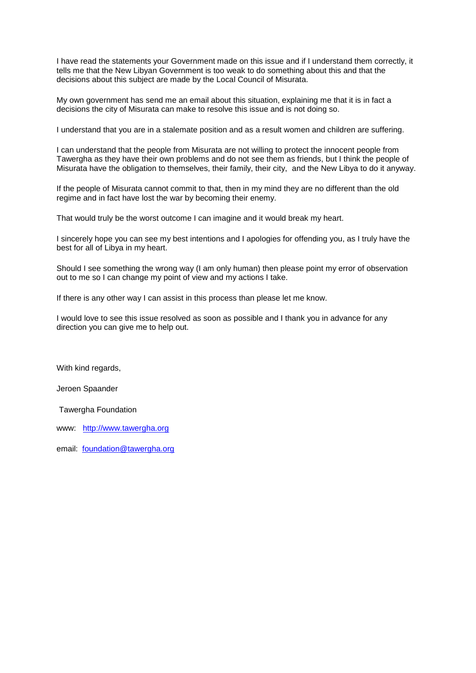I have read the statements your Government made on this issue and if I understand them correctly, it tells me that the New Libyan Government is too weak to do something about this and that the decisions about this subject are made by the Local Council of Misurata.

My own government has send me an email about this situation, explaining me that it is in fact a decisions the city of Misurata can make to resolve this issue and is not doing so.

I understand that you are in a stalemate position and as a result women and children are suffering.

I can understand that the people from Misurata are not willing to protect the innocent people from Tawergha as they have their own problems and do not see them as friends, but I think the people of Misurata have the obligation to themselves, their family, their city, and the New Libya to do it anyway.

If the people of Misurata cannot commit to that, then in my mind they are no different than the old regime and in fact have lost the war by becoming their enemy.

That would truly be the worst outcome I can imagine and it would break my heart.

I sincerely hope you can see my best intentions and I apologies for offending you, as I truly have the best for all of Libya in my heart.

Should I see something the wrong way (I am only human) then please point my error of observation out to me so I can change my point of view and my actions I take.

If there is any other way I can assist in this process than please let me know.

I would love to see this issue resolved as soon as possible and I thank you in advance for any direction you can give me to help out.

With kind regards,

Jeroen Spaander

Tawergha Foundation

www: [http://www.tawergha.org](http://www.tawergha.org/)

email: [foundation@tawergha.org](mailto:foundation@tawergha.org)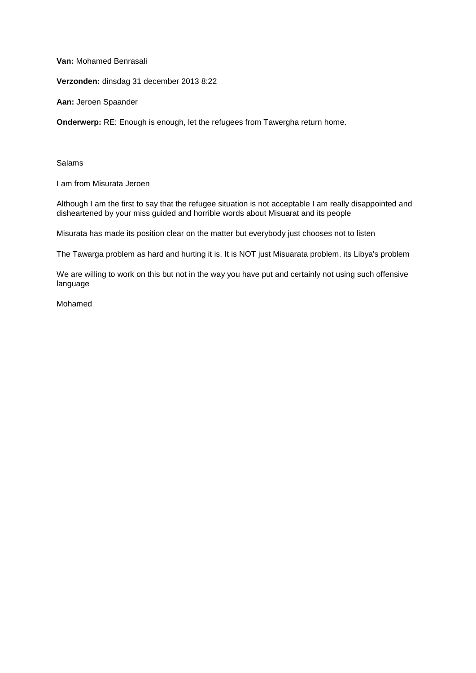**Van:** Mohamed Benrasali

**Verzonden:** dinsdag 31 december 2013 8:22

**Aan:** Jeroen Spaander

**Onderwerp:** RE: Enough is enough, let the refugees from Tawergha return home.

Salams

I am from Misurata Jeroen

Although I am the first to say that the refugee situation is not acceptable I am really disappointed and disheartened by your miss guided and horrible words about Misuarat and its people

Misurata has made its position clear on the matter but everybody just chooses not to listen

The Tawarga problem as hard and hurting it is. It is NOT just Misuarata problem. its Libya's problem

We are willing to work on this but not in the way you have put and certainly not using such offensive language

Mohamed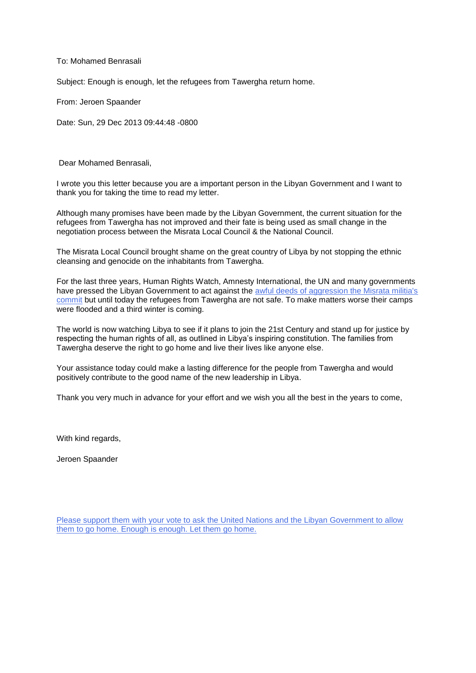To: Mohamed Benrasali

Subject: Enough is enough, let the refugees from Tawergha return home.

From: Jeroen Spaander

Date: Sun, 29 Dec 2013 09:44:48 -0800

Dear Mohamed Benrasali,

I wrote you this letter because you are a important person in the Libyan Government and I want to thank you for taking the time to read my letter.

Although many promises have been made by the Libyan Government, the current situation for the refugees from Tawergha has not improved and their fate is being used as small change in the negotiation process between the Misrata Local Council & the National Council.

The Misrata Local Council brought shame on the great country of Libya by not stopping the ethnic cleansing and genocide on the inhabitants from Tawergha.

For the last three years, Human Rights Watch, Amnesty International, the UN and many governments have pressed the Libyan Government to act against the awful deeds of aggression the Misrata militia's [commit](http://tawergha.org/home/media.html#uk-embassador-asks-misrata-for-mercy) but until today the refugees from Tawergha are not safe. To make matters worse their camps were flooded and a third winter is coming.

The world is now watching Libya to see if it plans to join the 21st Century and stand up for justice by respecting the human rights of all, as outlined in Libya's inspiring constitution. The families from Tawergha deserve the right to go home and live their lives like anyone else.

Your assistance today could make a lasting difference for the people from Tawergha and would positively contribute to the good name of the new leadership in Libya.

Thank you very much in advance for your effort and we wish you all the best in the years to come,

With kind regards,

Jeroen Spaander

[Please support them with your vote to ask the United Nations and the Libyan Government to allow](https://secure.avaaz.org/en/petition/United_Nations_Help_the_genocide_and_ethnic_cleansing_victims_from_Tawergha/?fdMxMab)  [them to go home. Enough is enough. Let them go home.](https://secure.avaaz.org/en/petition/United_Nations_Help_the_genocide_and_ethnic_cleansing_victims_from_Tawergha/?fdMxMab)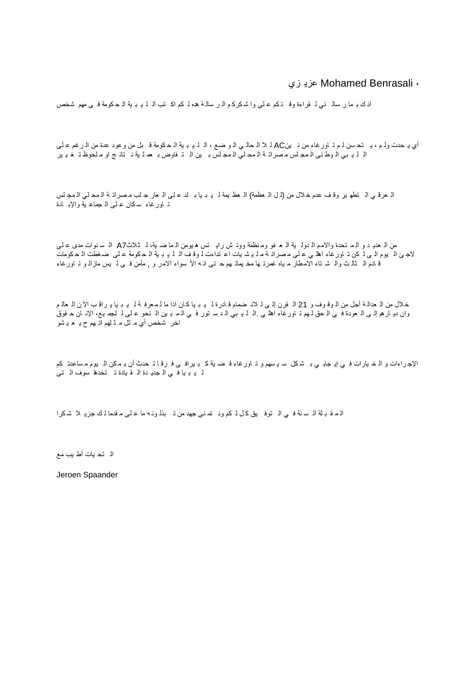، Benrasali Mohamed عزي زي

ان ك ب ما ر سال تي ل قراءة وق ت كم ع لى وا ش كرك م ال ر سال ة هده ل كم اك تب ال ل ي ب ية ال ح كومة ف ى مهم شخص

أي ي حدت ول م ، ي تح سن ل م ت اورغاء من ئ ينAC ل ال ال حال ي ال و ضع ، ال ل ي ب ية ال ح كومة ق بل من وعود عدة من ال رغم ع لى ال ل ي بي ال وط نى ال مج لس م صرات ة ال مح لي ال مج لس ب ين ال ت فاوض ب عم ل ية ن تائ ج او م لحوظ ت غ ي ير

ال عرق ي ال تطه ير وق ف عدم خ الل من (ل ل ال عظمة) ال عظ يمة ل ي ب يا ب لد ع لى ال عار ج لب م صرات ة ال مح لي ال مج لس ت اورغاء س كان ع لى ال جماع ية واإلب ادة

من ال عدي د و الـم تحدة والامم الـ دول ية الـ مـ فو ومـنظمة ووتـ ش رايـ تس ه يومن الـما ضـ ية، لـ ثـلاثA7 الـ سـنوات مدى عـلـى لاجئ ال يوم الـ ي لـ كن تـ اورغاء اهلَّا ي عـ لـى مـصراتـ ة مـلـ يـ شـ يات اعـ تداءت لـ وقـف الـ لـ يـ بـ ية الـ حـكومات عـلى ضغطت الـ حكومات ق ادم ال ثال ث وال ش تاء االمطار م ياه غمرت ها مخ يمات هم ح تى ان ه األ سواء االمر و , مأمن ف ى ل يس مازال و ت اورغاء

خلال من الـ عدالـة أجل من الـ وقـوف و 21 الـ قرن إلـ ي لـ لاذ ضمام قـ ادرة لـ يـ بـ يا كـ ان اذا ما لـمحرفـ ة لـ يـ بـ يا يـ راقـب الآن الـ عالـ م وان ديـ ارهم إلــي الـــعودة فـــي الــحق لــهم تــاور غاء اهلــي .الــلــيــي الــد ســتور فـــي الـمــــون اله عن الإنــان حــقوق اخر شخص أي م ثل م ث لهم ات هم ح ي ع ي شو

الإجراءات و ال خ يارات فـ ي إيـ جابـ ي بـ شكل سـ يـ سهم و دّ اورغاء قـ ضـ ية كـ بـ يرافـ ي فـ رقـا دَ حدث أن يـ مكن الـ يوم مـ ساعدد كم ل ي ب يا ف ي ال جدي دة ال ق يادة ت تخدها سوف ال تى

المقبلة ال سنة في ال توف يق كل لـ كم ونـ تمنى جهد من تـ بذل ونـه ما عـلى مـقدما لـ ك جزيـ لا شكر ا

ال تح يات أط يب مع

Jeroen Spaander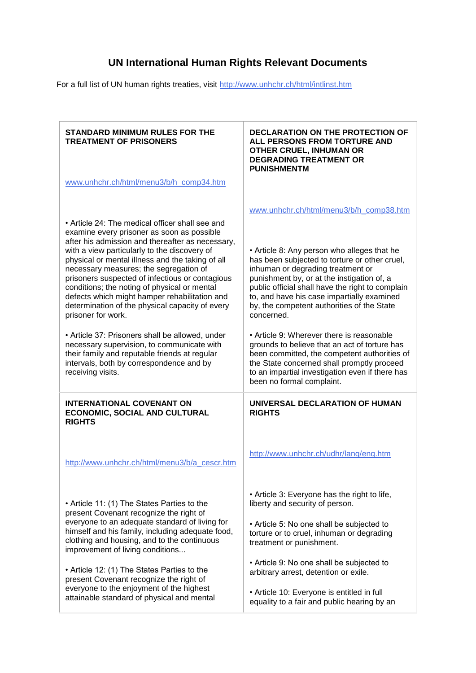## **UN International Human Rights Relevant Documents**

For a full list of UN human rights treaties, visit<http://www.unhchr.ch/html/intlinst.htm>

| <b>STANDARD MINIMUM RULES FOR THE</b><br><b>TREATMENT OF PRISONERS</b><br>www.unhchr.ch/html/menu3/b/h_comp34.htm                                                                                                                                                                                                                                                                                                           | <b>DECLARATION ON THE PROTECTION OF</b><br>ALL PERSONS FROM TORTURE AND<br><b>OTHER CRUEL, INHUMAN OR</b><br><b>DEGRADING TREATMENT OR</b><br><b>PUNISHMENTM</b>                                                                                                                                                                              |
|-----------------------------------------------------------------------------------------------------------------------------------------------------------------------------------------------------------------------------------------------------------------------------------------------------------------------------------------------------------------------------------------------------------------------------|-----------------------------------------------------------------------------------------------------------------------------------------------------------------------------------------------------------------------------------------------------------------------------------------------------------------------------------------------|
|                                                                                                                                                                                                                                                                                                                                                                                                                             |                                                                                                                                                                                                                                                                                                                                               |
| • Article 24: The medical officer shall see and<br>examine every prisoner as soon as possible                                                                                                                                                                                                                                                                                                                               | www.unhchr.ch/html/menu3/b/h comp38.htm                                                                                                                                                                                                                                                                                                       |
| after his admission and thereafter as necessary,<br>with a view particularly to the discovery of<br>physical or mental illness and the taking of all<br>necessary measures; the segregation of<br>prisoners suspected of infectious or contagious<br>conditions; the noting of physical or mental<br>defects which might hamper rehabilitation and<br>determination of the physical capacity of every<br>prisoner for work. | • Article 8: Any person who alleges that he<br>has been subjected to torture or other cruel,<br>inhuman or degrading treatment or<br>punishment by, or at the instigation of, a<br>public official shall have the right to complain<br>to, and have his case impartially examined<br>by, the competent authorities of the State<br>concerned. |
| • Article 37: Prisoners shall be allowed, under<br>necessary supervision, to communicate with<br>their family and reputable friends at regular<br>intervals, both by correspondence and by<br>receiving visits.                                                                                                                                                                                                             | • Article 9: Wherever there is reasonable<br>grounds to believe that an act of torture has<br>been committed, the competent authorities of<br>the State concerned shall promptly proceed<br>to an impartial investigation even if there has<br>been no formal complaint.                                                                      |
| <b>INTERNATIONAL COVENANT ON</b><br><b>ECONOMIC, SOCIAL AND CULTURAL</b><br><b>RIGHTS</b>                                                                                                                                                                                                                                                                                                                                   | UNIVERSAL DECLARATION OF HUMAN<br><b>RIGHTS</b>                                                                                                                                                                                                                                                                                               |
| http://www.unhchr.ch/html/menu3/b/a_cescr.htm                                                                                                                                                                                                                                                                                                                                                                               | http://www.unhchr.ch/udhr/lang/eng.htm                                                                                                                                                                                                                                                                                                        |
| • Article 11: (1) The States Parties to the<br>present Covenant recognize the right of<br>everyone to an adequate standard of living for<br>himself and his family, including adequate food,<br>clothing and housing, and to the continuous                                                                                                                                                                                 | • Article 3: Everyone has the right to life,<br>liberty and security of person.<br>• Article 5: No one shall be subjected to<br>torture or to cruel, inhuman or degrading                                                                                                                                                                     |
| improvement of living conditions                                                                                                                                                                                                                                                                                                                                                                                            | treatment or punishment.                                                                                                                                                                                                                                                                                                                      |
| • Article 12: (1) The States Parties to the<br>present Covenant recognize the right of                                                                                                                                                                                                                                                                                                                                      | • Article 9: No one shall be subjected to<br>arbitrary arrest, detention or exile.                                                                                                                                                                                                                                                            |
| everyone to the enjoyment of the highest<br>attainable standard of physical and mental                                                                                                                                                                                                                                                                                                                                      | • Article 10: Everyone is entitled in full<br>equality to a fair and public hearing by an                                                                                                                                                                                                                                                     |